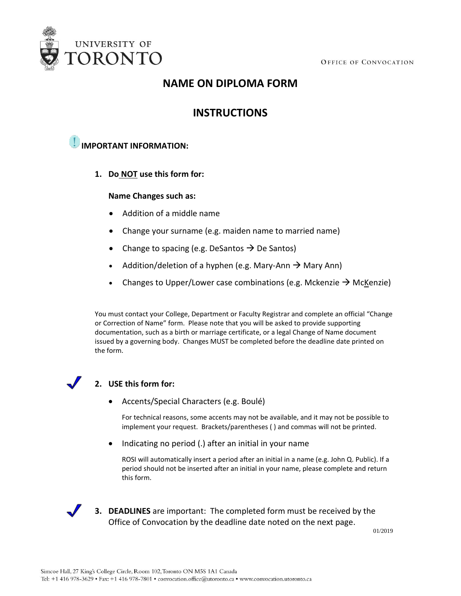

# **NAME ON DIPLOMA FORM**

## **INSTRUCTIONS**

## **IMPORTANT INFORMATION:**

**1. Do NOT use this form for:**

#### **Name Changes such as:**

- Addition of a middle name
- Change your surname (e.g. maiden name to married name)
- Change to spacing (e.g. DeSantos  $\rightarrow$  De Santos)
- Addition/deletion of a hyphen (e.g. Mary-Ann  $\rightarrow$  Mary Ann)
- Changes to Upper/Lower case combinations (e.g. Mckenzie  $\rightarrow$  McKenzie)

You must contact your College, Department or Faculty Registrar and complete an official "Change or Correction of Name" form. Please note that you will be asked to provide supporting documentation, such as a birth or marriage certificate, or a legal Change of Name document issued by a governing body. Changes MUST be completed before the deadline date printed on the form.

### **2. USE this form for:**

• Accents/Special Characters (e.g. Boulé)

For technical reasons, some accents may not be available, and it may not be possible to implement your request. Brackets/parentheses ( ) and commas will not be printed.

• Indicating no period (.) after an initial in your name

ROSI will automatically insert a period after an initial in a name (e.g. John Q. Public). If a period should not be inserted after an initial in your name, please complete and return this form.



**3. DEADLINES** are important: The completed form must be received by the Office of Convocation by the deadline date noted on the next page.

01/2019